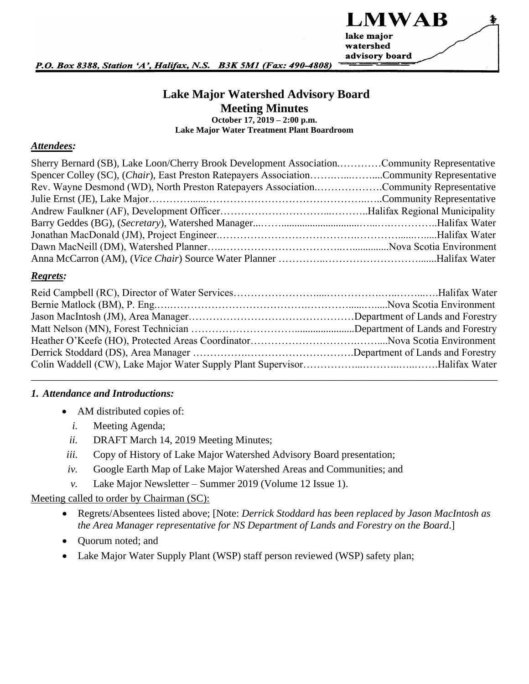

P.O. Box 8388, Station 'A', Halifax, N.S. B3K 5M1 (Fax: 490-4808)

## **Lake Major Watershed Advisory Board Meeting Minutes**

**October 17, 2019 – 2:00 p.m. Lake Major Water Treatment Plant Boardroom**

#### *Attendees:*

| Sherry Bernard (SB), Lake Loon/Cherry Brook Development AssociationCommunity Representative |  |
|---------------------------------------------------------------------------------------------|--|
| Spencer Colley (SC), (Chair), East Preston Ratepayers AssociationCommunity Representative   |  |
| Rev. Wayne Desmond (WD), North Preston Ratepayers AssociationCommunity Representative       |  |
|                                                                                             |  |
|                                                                                             |  |
|                                                                                             |  |
|                                                                                             |  |
|                                                                                             |  |
|                                                                                             |  |

#### *Regrets:*

#### <span id="page-0-0"></span>*1. Attendance and Introductions:*

- AM distributed copies of:
	- *i.* Meeting Agenda;
	- *ii.* DRAFT March 14, 2019 Meeting Minutes;
- <span id="page-0-1"></span>*iii.* Copy of History of Lake Major Watershed Advisory Board presentation;
- *iv.* Google Earth Map of Lake Major Watershed Areas and Communities; and
- *v.* Lake Major Newsletter Summer 2019 (Volume 12 Issue 1).

#### Meeting called to order by Chairman (SC):

- Regrets/Absentees listed above; [Note: *Derrick Stoddard has been replaced by Jason MacIntosh as the Area Manager representative for NS Department of Lands and Forestry on the Board*.]
- Quorum noted; and
- Lake Major Water Supply Plant (WSP) staff person reviewed (WSP) safety plan;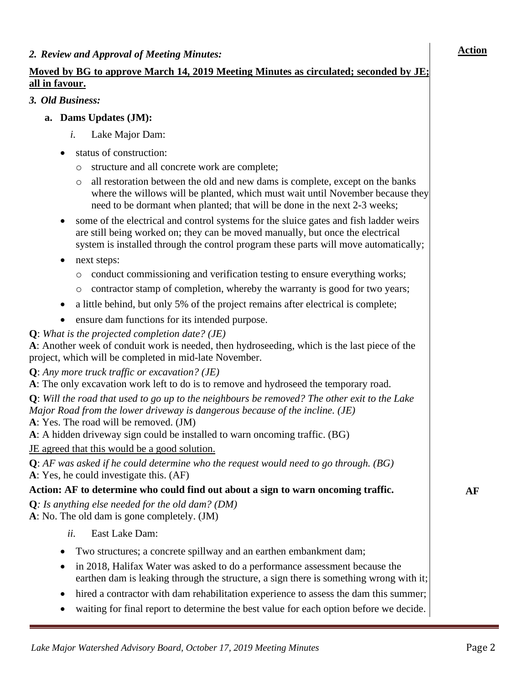## **Moved by BG to approve March 14, 2019 Meeting Minutes as circulated; seconded by JE; all in favour.**

### *3. Old Business:*

- **a. Dams Updates (JM):**
	- *i.* Lake Major Dam:
	- status of construction:
		- o structure and all concrete work are complete;
		- o all restoration between the old and new dams is complete, except on the banks where the willows will be planted, which must wait until November because they need to be dormant when planted; that will be done in the next 2-3 weeks;
	- some of the electrical and control systems for the sluice gates and fish ladder weirs are still being worked on; they can be moved manually, but once the electrical system is installed through the control program these parts will move automatically;
	- next steps:
		- o conduct commissioning and verification testing to ensure everything works;
		- contractor stamp of completion, whereby the warranty is good for two years;
	- a little behind, but only 5% of the project remains after electrical is complete;
	- ensure dam functions for its intended purpose.

**Q**: *What is the projected completion date? (JE)*

**A**: Another week of conduit work is needed, then hydroseeding, which is the last piece of the project, which will be completed in mid-late November.

**Q**: *Any more truck traffic or excavation? (JE)*

**A**: The only excavation work left to do is to remove and hydroseed the temporary road.

**Q**: *Will the road that used to go up to the neighbours be removed? The other exit to the Lake Major Road from the lower driveway is dangerous because of the incline. (JE)*

**A**: Yes. The road will be removed. (JM)

**A**: A hidden driveway sign could be installed to warn oncoming traffic. (BG)

JE agreed that this would be a good solution.

**Q**: *AF was asked if he could determine who the request would need to go through. (BG)* **A**: Yes, he could investigate this. (AF)

### **Action: AF to determine who could find out about a sign to warn oncoming traffic.**

**Q***: Is anything else needed for the old dam? (DM)* **A**: No. The old dam is gone completely. (JM)

- *ii.* East Lake Dam:
- Two structures; a concrete spillway and an earthen embankment dam;
- in 2018, Halifax Water was asked to do a performance assessment because the earthen dam is leaking through the structure, a sign there is something wrong with it;
- hired a contractor with dam rehabilitation experience to assess the dam this summer;
- waiting for final report to determine the best value for each option before we decide.

**AF**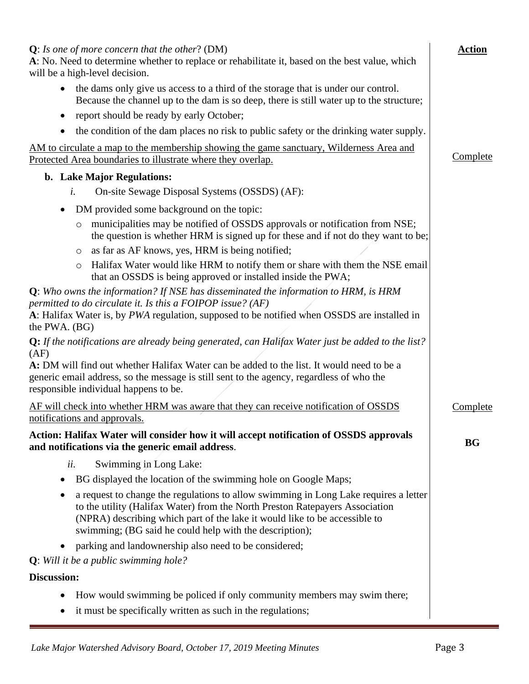| $Q$ : Is one of more concern that the other? (DM)<br>A: No. Need to determine whether to replace or rehabilitate it, based on the best value, which<br>will be a high-level decision.                                                                                                                              | <b>Action</b> |
|--------------------------------------------------------------------------------------------------------------------------------------------------------------------------------------------------------------------------------------------------------------------------------------------------------------------|---------------|
| the dams only give us access to a third of the storage that is under our control.<br>$\bullet$<br>Because the channel up to the dam is so deep, there is still water up to the structure;                                                                                                                          |               |
| report should be ready by early October;<br>٠                                                                                                                                                                                                                                                                      |               |
| the condition of the dam places no risk to public safety or the drinking water supply.<br>$\bullet$                                                                                                                                                                                                                |               |
| AM to circulate a map to the membership showing the game sanctuary, Wilderness Area and<br>Protected Area boundaries to illustrate where they overlap.                                                                                                                                                             | Complete      |
| b. Lake Major Regulations:                                                                                                                                                                                                                                                                                         |               |
| On-site Sewage Disposal Systems (OSSDS) (AF):<br>i.                                                                                                                                                                                                                                                                |               |
| DM provided some background on the topic:<br>$\bullet$                                                                                                                                                                                                                                                             |               |
| municipalities may be notified of OSSDS approvals or notification from NSE;<br>$\circ$<br>the question is whether HRM is signed up for these and if not do they want to be;                                                                                                                                        |               |
| as far as AF knows, yes, HRM is being notified;<br>O                                                                                                                                                                                                                                                               |               |
| Halifax Water would like HRM to notify them or share with them the NSE email<br>$\circ$<br>that an OSSDS is being approved or installed inside the PWA;                                                                                                                                                            |               |
| Q: Who owns the information? If NSE has disseminated the information to HRM, is HRM                                                                                                                                                                                                                                |               |
| permitted to do circulate it. Is this a FOIPOP issue? (AF)<br>A: Halifax Water is, by PWA regulation, supposed to be notified when OSSDS are installed in<br>the PWA. (BG)                                                                                                                                         |               |
| $Q:$ If the notifications are already being generated, can Halifax Water just be added to the list?<br>(AF)                                                                                                                                                                                                        |               |
| A: DM will find out whether Halifax Water can be added to the list. It would need to be a<br>generic email address, so the message is still sent to the agency, regardless of who the<br>responsible individual happens to be.                                                                                     |               |
| AF will check into whether HRM was aware that they can receive notification of OSSDS<br>notifications and approvals.                                                                                                                                                                                               | Complete      |
| Action: Halifax Water will consider how it will accept notification of OSSDS approvals<br>and notifications via the generic email address.                                                                                                                                                                         | <b>BG</b>     |
| Swimming in Long Lake:<br>ii.                                                                                                                                                                                                                                                                                      |               |
| BG displayed the location of the swimming hole on Google Maps;                                                                                                                                                                                                                                                     |               |
| a request to change the regulations to allow swimming in Long Lake requires a letter<br>٠<br>to the utility (Halifax Water) from the North Preston Ratepayers Association<br>(NPRA) describing which part of the lake it would like to be accessible to<br>swimming; (BG said he could help with the description); |               |
| parking and landownership also need to be considered;<br>$\bullet$                                                                                                                                                                                                                                                 |               |
| <b>Q</b> : Will it be a public swimming hole?                                                                                                                                                                                                                                                                      |               |
| Discussion:                                                                                                                                                                                                                                                                                                        |               |
| How would swimming be policed if only community members may swim there;<br>it must be specifically written as such in the regulations;<br>٠                                                                                                                                                                        |               |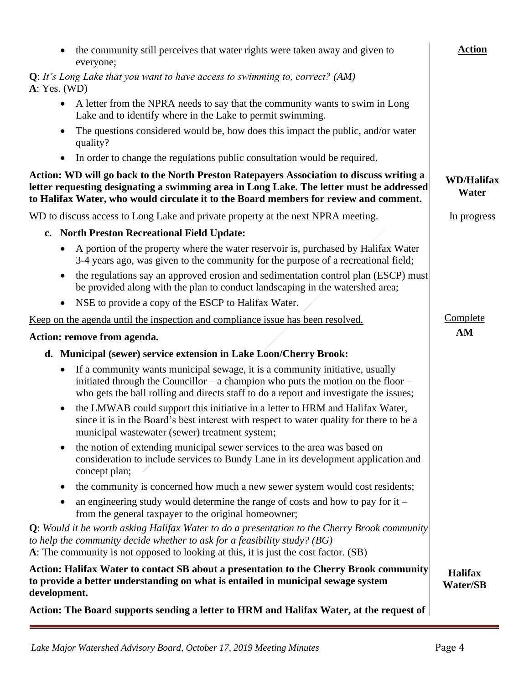| the community still perceives that water rights were taken away and given to<br>everyone;                                                                                                                                                                                     | <b>Action</b>                     |
|-------------------------------------------------------------------------------------------------------------------------------------------------------------------------------------------------------------------------------------------------------------------------------|-----------------------------------|
| $Q$ : It's Long Lake that you want to have access to swimming to, correct? (AM)<br>A: Yes. (WD)                                                                                                                                                                               |                                   |
| A letter from the NPRA needs to say that the community wants to swim in Long<br>$\bullet$<br>Lake and to identify where in the Lake to permit swimming.                                                                                                                       |                                   |
| The questions considered would be, how does this impact the public, and/or water<br>quality?                                                                                                                                                                                  |                                   |
| In order to change the regulations public consultation would be required.<br>$\bullet$                                                                                                                                                                                        |                                   |
| Action: WD will go back to the North Preston Ratepayers Association to discuss writing a<br>letter requesting designating a swimming area in Long Lake. The letter must be addressed<br>to Halifax Water, who would circulate it to the Board members for review and comment. | <b>WD/Halifax</b><br>Water        |
| WD to discuss access to Long Lake and private property at the next NPRA meeting.                                                                                                                                                                                              | In progress                       |
| c. North Preston Recreational Field Update:                                                                                                                                                                                                                                   |                                   |
| A portion of the property where the water reservoir is, purchased by Halifax Water<br>3-4 years ago, was given to the community for the purpose of a recreational field;                                                                                                      |                                   |
| the regulations say an approved erosion and sedimentation control plan (ESCP) must<br>$\bullet$<br>be provided along with the plan to conduct landscaping in the watershed area;                                                                                              |                                   |
| NSE to provide a copy of the ESCP to Halifax Water.<br>$\bullet$                                                                                                                                                                                                              |                                   |
| Keep on the agenda until the inspection and compliance issue has been resolved.                                                                                                                                                                                               | Complete                          |
| Action: remove from agenda.                                                                                                                                                                                                                                                   | AM                                |
| d. Municipal (sewer) service extension in Lake Loon/Cherry Brook:                                                                                                                                                                                                             |                                   |
| If a community wants municipal sewage, it is a community initiative, usually<br>$\bullet$<br>initiated through the Councillor – a champion who puts the motion on the floor –<br>who gets the ball rolling and directs staff to do a report and investigate the issues;       |                                   |
| the LMWAB could support this initiative in a letter to HRM and Halifax Water,<br>$\bullet$<br>since it is in the Board's best interest with respect to water quality for there to be a<br>municipal wastewater (sewer) treatment system;                                      |                                   |
| the notion of extending municipal sewer services to the area was based on<br>٠<br>consideration to include services to Bundy Lane in its development application and<br>concept plan;                                                                                         |                                   |
| the community is concerned how much a new sewer system would cost residents;<br>$\bullet$                                                                                                                                                                                     |                                   |
| an engineering study would determine the range of costs and how to pay for it $-$<br>٠<br>from the general taxpayer to the original homeowner;                                                                                                                                |                                   |
| Q: Would it be worth asking Halifax Water to do a presentation to the Cherry Brook community<br>to help the community decide whether to ask for a feasibility study? ( $BG$ )<br>A: The community is not opposed to looking at this, it is just the cost factor. (SB)         |                                   |
| Action: Halifax Water to contact SB about a presentation to the Cherry Brook community<br>to provide a better understanding on what is entailed in municipal sewage system<br>development.                                                                                    | <b>Halifax</b><br><b>Water/SB</b> |
| Action: The Board supports sending a letter to HRM and Halifax Water, at the request of                                                                                                                                                                                       |                                   |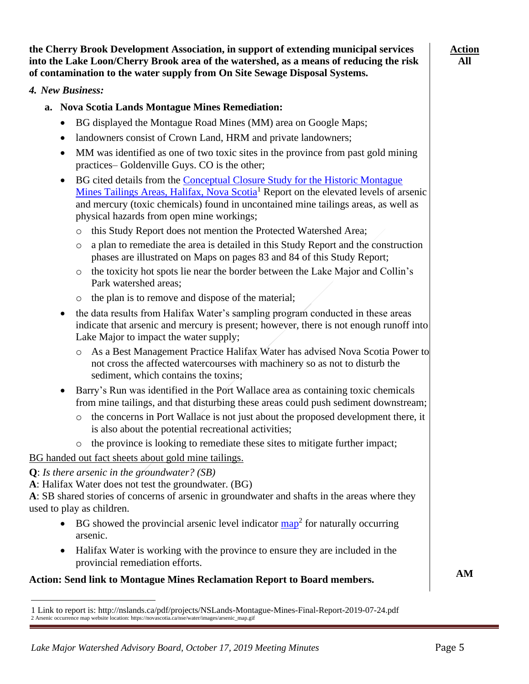*Lake Major Watershed Advisory Board, October 17, 2019 Meeting Minutes* Page 5

#### **the Cherry Brook Development Association, in support of extending municipal services into the Lake Loon/Cherry Brook area of the watershed, as a means of reducing the risk of contamination to the water supply from On Site Sewage Disposal Systems.**

### *4. New Business:*

- **a. Nova Scotia Lands Montague Mines Remediation:**
	- BG displayed the Montague Road Mines (MM) area on Google Maps;
	- landowners consist of Crown Land, HRM and private landowners;
	- MM was identified as one of two toxic sites in the province from past gold mining practices– Goldenville Guys. CO is the other;
	- BG cited details from the [Conceptual Closure Study for the Historic Montague](http://nslands.ca/pdf/projects/NSLands-Montague-Mines-Final-Report-2019-07-24.pdf)  [Mines Tailings Areas, Halifax,](http://nslands.ca/pdf/projects/NSLands-Montague-Mines-Final-Report-2019-07-24.pdf) Nova Scotia<sup>1</sup> Report on the elevated levels of arsenic and mercury (toxic chemicals) found in uncontained mine tailings areas, as well as physical hazards from open mine workings;
		- o this Study Report does not mention the Protected Watershed Area;
		- $\circ$  a plan to remediate the area is detailed in this Study Report and the construction phases are illustrated on Maps on pages 83 and 84 of this Study Report;
		- o the toxicity hot spots lie near the border between the Lake Major and Collin's Park watershed areas;
		- o the plan is to remove and dispose of the material;
	- the data results from Halifax Water's sampling program conducted in these areas indicate that arsenic and mercury is present; however, there is not enough runoff into Lake Major to impact the water supply;
		- o As a Best Management Practice Halifax Water has advised Nova Scotia Power to not cross the affected watercourses with machinery so as not to disturb the sediment, which contains the toxins;
	- Barry's Run was identified in the Port Wallace area as containing toxic chemicals from mine tailings, and that disturbing these areas could push sediment downstream;
		- o the concerns in Port Wallace is not just about the proposed development there, it is also about the potential recreational activities;
		- o the province is looking to remediate these sites to mitigate further impact;

BG handed out fact sheets about gold mine tailings.

**Q**: *Is there arsenic in the groundwater? (SB)*

**A**: Halifax Water does not test the groundwater. (BG)

2 Arsenic occurrence map website location: https://novascotia.ca/nse/water/images/arsenic\_map.gif

**A**: SB shared stories of concerns of arsenic in groundwater and shafts in the areas where they used to play as children.

- BG showed the provincial arsenic level indicator  $\frac{map^2}{amp}$  for naturally occurring arsenic.
- Halifax Water is working with the province to ensure they are included in the provincial remediation efforts.

# **Action: Send link to Montague Mines Reclamation Report to Board members.**

1 Link to report is: http://nslands.ca/pdf/projects/NSLands-Montague-Mines-Final-Report-2019-07-24.pdf

**AM**

**Action All**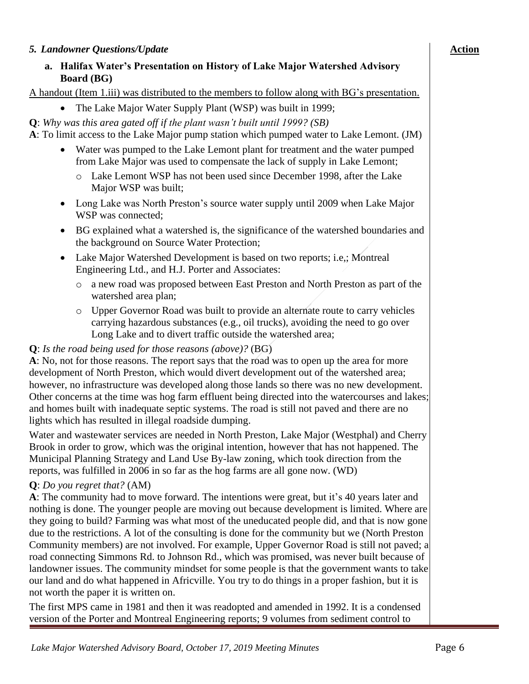### *5. Landowner Questions/Update*

### **a. Halifax Water's Presentation on History of Lake Major Watershed Advisory Board (BG)**

A handout (Item [1.](#page-0-0)[iii\)](#page-0-1) was distributed to the members to follow along with BG's presentation.

- The Lake Major Water Supply Plant (WSP) was built in 1999;
- **Q**: *Why was this area gated off if the plant wasn't built until 1999? (SB)*

**A**: To limit access to the Lake Major pump station which pumped water to Lake Lemont. (JM)

- Water was pumped to the Lake Lemont plant for treatment and the water pumped from Lake Major was used to compensate the lack of supply in Lake Lemont;
	- o Lake Lemont WSP has not been used since December 1998, after the Lake Major WSP was built;
- Long Lake was North Preston's source water supply until 2009 when Lake Major WSP was connected;
- BG explained what a watershed is, the significance of the watershed boundaries and the background on Source Water Protection;
- Lake Major Watershed Development is based on two reports; i.e.; Montreal Engineering Ltd., and H.J. Porter and Associates:
	- o a new road was proposed between East Preston and North Preston as part of the watershed area plan;
	- o Upper Governor Road was built to provide an alternate route to carry vehicles carrying hazardous substances (e.g., oil trucks), avoiding the need to go over Long Lake and to divert traffic outside the watershed area;

#### **Q**: *Is the road being used for those reasons (above)?* (BG)

**A**: No, not for those reasons. The report says that the road was to open up the area for more development of North Preston, which would divert development out of the watershed area; however, no infrastructure was developed along those lands so there was no new development. Other concerns at the time was hog farm effluent being directed into the watercourses and lakes; and homes built with inadequate septic systems. The road is still not paved and there are no lights which has resulted in illegal roadside dumping.

Water and wastewater services are needed in North Preston, Lake Major (Westphal) and Cherry Brook in order to grow, which was the original intention, however that has not happened. The Municipal Planning Strategy and Land Use By-law zoning, which took direction from the reports, was fulfilled in 2006 in so far as the hog farms are all gone now. (WD)

#### **Q**: *Do you regret that?* (AM)

**A**: The community had to move forward. The intentions were great, but it's 40 years later and nothing is done. The younger people are moving out because development is limited. Where are they going to build? Farming was what most of the uneducated people did, and that is now gone due to the restrictions. A lot of the consulting is done for the community but we (North Preston Community members) are not involved. For example, Upper Governor Road is still not paved; a road connecting Simmons Rd. to Johnson Rd., which was promised, was never built because of landowner issues. The community mindset for some people is that the government wants to take our land and do what happened in Africville. You try to do things in a proper fashion, but it is not worth the paper it is written on.

The first MPS came in 1981 and then it was readopted and amended in 1992. It is a condensed version of the Porter and Montreal Engineering reports; 9 volumes from sediment control to